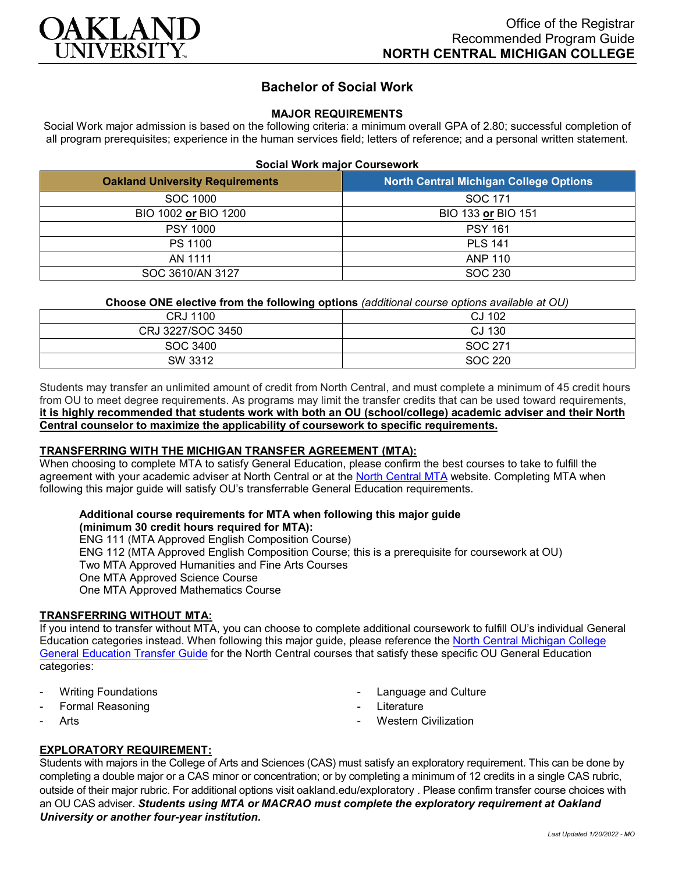

# **Bachelor of Social Work**

### **MAJOR REQUIREMENTS**

Social Work major admission is based on the following criteria: a minimum overall GPA of 2.80; successful completion of all program prerequisites; experience in the human services field; letters of reference; and a personal written statement.

| <b>Social Work major Coursework</b> |  |
|-------------------------------------|--|
|-------------------------------------|--|

| <b>Oakland University Requirements</b> | <b>North Central Michigan College Options</b> |
|----------------------------------------|-----------------------------------------------|
| SOC 1000                               | SOC 171                                       |
| BIO 1002 or BIO 1200                   | BIO 133 or BIO 151                            |
| <b>PSY 1000</b>                        | <b>PSY 161</b>                                |
| <b>PS 1100</b>                         | <b>PLS 141</b>                                |
| AN 1111                                | ANP 110                                       |
| SOC 3610/AN 3127                       | SOC 230                                       |

### **Choose ONE elective from the following options** *(additional course options available at OU)*

| CRJ 1100          | CJ 102  |
|-------------------|---------|
| CRJ 3227/SOC 3450 | CJ 130  |
| SOC 3400          | SOC 271 |
| SW 3312           | SOC 220 |
|                   |         |

Students may transfer an unlimited amount of credit from North Central, and must complete a minimum of 45 credit hours from OU to meet degree requirements. As programs may limit the transfer credits that can be used toward requirements, **it is highly recommended that students work with both an OU (school/college) academic adviser and their North Central counselor to maximize the applicability of coursework to specific requirements.**

# **TRANSFERRING WITH THE MICHIGAN TRANSFER AGREEMENT (MTA):**

When choosing to complete MTA to satisfy General Education, please confirm the best courses to take to fulfill the agreement with your academic adviser at North Central or at the [North Central MTA](https://www.ncmich.edu/academics/michigan-transfer-agreement-mta.html) website. Completing MTA when following this major guide will satisfy OU's transferrable General Education requirements.

#### **Additional course requirements for MTA when following this major guide (minimum 30 credit hours required for MTA):**

ENG 111 (MTA Approved English Composition Course) ENG 112 (MTA Approved English Composition Course; this is a prerequisite for coursework at OU) Two MTA Approved Humanities and Fine Arts Courses One MTA Approved Science Course One MTA Approved Mathematics Course

# **TRANSFERRING WITHOUT MTA:**

If you intend to transfer without MTA, you can choose to complete additional coursework to fulfill OU's individual General Education categories instead. When following this major guide, please reference the North Central Michigan College [General Education Transfer Guide](https://www.oakland.edu/Assets/Oakland/program-guides/north-central-michigan-college/university-general-education-requirements/North%20Central%20Michigan%20Gen%20Ed.pdf) for the North Central courses that satisfy these specific OU General Education categories:

- **Writing Foundations**
- Formal Reasoning
- **Arts**
- Language and Culture
- **Literature**
- **Western Civilization**

# **EXPLORATORY REQUIREMENT:**

Students with majors in the College of Arts and Sciences (CAS) must satisfy an exploratory requirement. This can be done by completing a double major or a CAS minor or concentration; or by completing a minimum of 12 credits in a single CAS rubric, outside of their major rubric. For additional options visit [oakland.edu/exploratory](http://www.oakland.edu/exploratory) . Please confirm transfer course choices with an OU CAS adviser. *Students using MTA or MACRAO must complete the exploratory requirement at Oakland University or another four-year institution.*